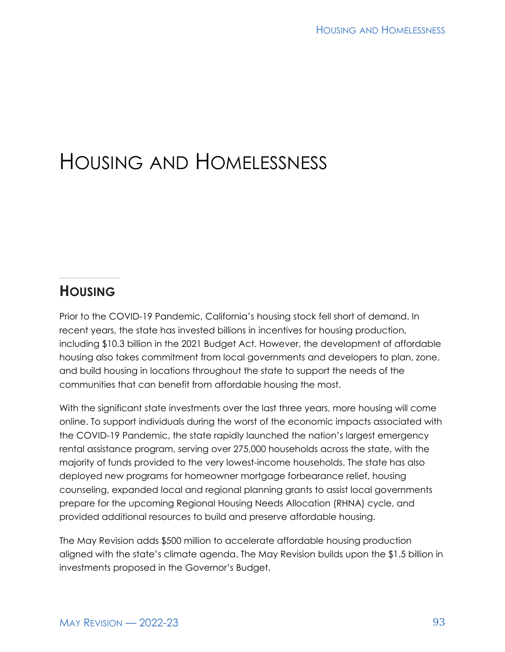# HOUSING AND HOMELESSNESS

# **HOUSING**

Prior to the COVID-19 Pandemic, California's housing stock fell short of demand. In recent years, the state has invested billions in incentives for housing production, including \$10.3 billion in the 2021 Budget Act. However, the development of affordable housing also takes commitment from local governments and developers to plan, zone, and build housing in locations throughout the state to support the needs of the communities that can benefit from affordable housing the most.

With the significant state investments over the last three years, more housing will come online. To support individuals during the worst of the economic impacts associated with the COVID-19 Pandemic, the state rapidly launched the nation's largest emergency rental assistance program, serving over 275,000 households across the state, with the majority of funds provided to the very lowest-income households. The state has also deployed new programs for homeowner mortgage forbearance relief, housing counseling, expanded local and regional planning grants to assist local governments prepare for the upcoming Regional Housing Needs Allocation (RHNA) cycle, and provided additional resources to build and preserve affordable housing.

The May Revision adds \$500 million to accelerate affordable housing production aligned with the state's climate agenda. The May Revision builds upon the \$1.5 billion in investments proposed in the Governor's Budget.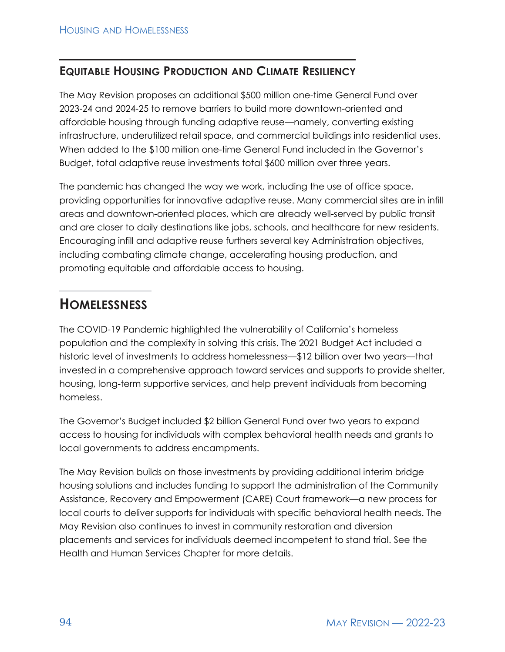### **EQUITABLE HOUSING PRODUCTION AND CLIMATE RESILIENCY**

The May Revision proposes an additional \$500 million one-time General Fund over 2023-24 and 2024-25 to remove barriers to build more downtown-oriented and affordable housing through funding adaptive reuse—namely, converting existing infrastructure, underutilized retail space, and commercial buildings into residential uses. When added to the \$100 million one-time General Fund included in the Governor's Budget, total adaptive reuse investments total \$600 million over three years.

The pandemic has changed the way we work, including the use of office space, providing opportunities for innovative adaptive reuse. Many commercial sites are in infill areas and downtown-oriented places, which are already well-served by public transit and are closer to daily destinations like jobs, schools, and healthcare for new residents. Encouraging infill and adaptive reuse furthers several key Administration objectives, including combating climate change, accelerating housing production, and promoting equitable and affordable access to housing.

## **HOMELESSNESS**

The COVID-19 Pandemic highlighted the vulnerability of California's homeless population and the complexity in solving this crisis. The 2021 Budget Act included a historic level of investments to address homelessness—\$12 billion over two years—that invested in a comprehensive approach toward services and supports to provide shelter, housing, long-term supportive services, and help prevent individuals from becoming homeless.

The Governor's Budget included \$2 billion General Fund over two years to expand access to housing for individuals with complex behavioral health needs and grants to local governments to address encampments.

The May Revision builds on those investments by providing additional interim bridge housing solutions and includes funding to support the administration of the Community Assistance, Recovery and Empowerment (CARE) Court framework—a new process for local courts to deliver supports for individuals with specific behavioral health needs. The May Revision also continues to invest in community restoration and diversion placements and services for individuals deemed incompetent to stand trial. See the Health and Human Services Chapter for more details.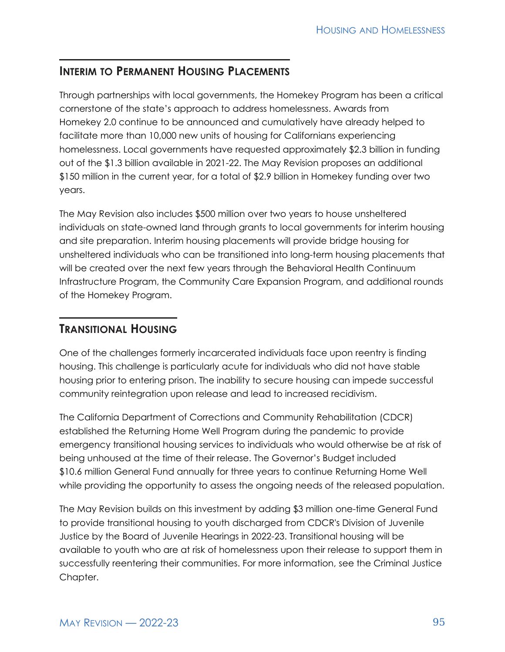#### **INTERIM TO PERMANENT HOUSING PLACEMENTS**

Through partnerships with local governments, the Homekey Program has been a critical cornerstone of the state's approach to address homelessness. Awards from Homekey 2.0 continue to be announced and cumulatively have already helped to facilitate more than 10,000 new units of housing for Californians experiencing homelessness. Local governments have requested approximately \$2.3 billion in funding out of the \$1.3 billion available in 2021-22. The May Revision proposes an additional \$150 million in the current year, for a total of \$2.9 billion in Homekey funding over two years.

The May Revision also includes \$500 million over two years to house unsheltered individuals on state-owned land through grants to local governments for interim housing and site preparation. Interim housing placements will provide bridge housing for unsheltered individuals who can be transitioned into long-term housing placements that will be created over the next few years through the Behavioral Health Continuum Infrastructure Program, the Community Care Expansion Program, and additional rounds of the Homekey Program.

### **TRANSITIONAL HOUSING**

One of the challenges formerly incarcerated individuals face upon reentry is finding housing. This challenge is particularly acute for individuals who did not have stable housing prior to entering prison. The inability to secure housing can impede successful community reintegration upon release and lead to increased recidivism.

The California Department of Corrections and Community Rehabilitation (CDCR) established the Returning Home Well Program during the pandemic to provide emergency transitional housing services to individuals who would otherwise be at risk of being unhoused at the time of their release. The Governor's Budget included \$10.6 million General Fund annually for three years to continue Returning Home Well while providing the opportunity to assess the ongoing needs of the released population.

The May Revision builds on this investment by adding \$3 million one-time General Fund to provide transitional housing to youth discharged from CDCR's Division of Juvenile Justice by the Board of Juvenile Hearings in 2022-23. Transitional housing will be available to youth who are at risk of homelessness upon their release to support them in successfully reentering their communities. For more information, see the Criminal Justice Chapter.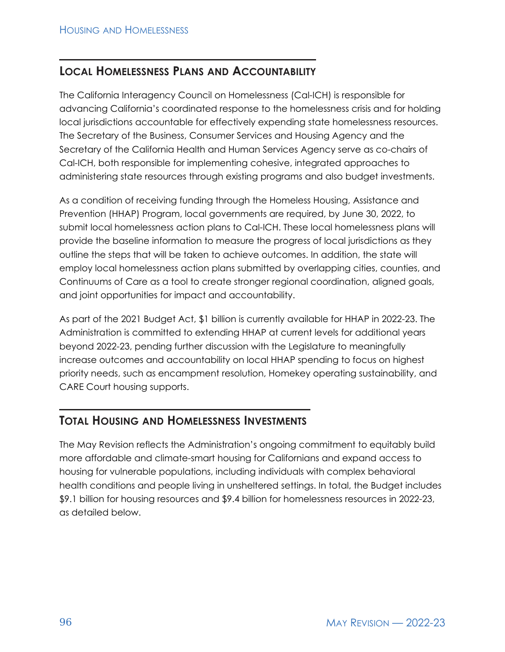### **LOCAL HOMELESSNESS PLANS AND ACCOUNTABILITY**

The California Interagency Council on Homelessness (Cal-ICH) is responsible for advancing California's coordinated response to the homelessness crisis and for holding local jurisdictions accountable for effectively expending state homelessness resources. The Secretary of the Business, Consumer Services and Housing Agency and the Secretary of the California Health and Human Services Agency serve as co-chairs of Cal-ICH, both responsible for implementing cohesive, integrated approaches to administering state resources through existing programs and also budget investments.

As a condition of receiving funding through the Homeless Housing, Assistance and Prevention (HHAP) Program, local governments are required, by June 30, 2022, to submit local homelessness action plans to Cal-ICH. These local homelessness plans will provide the baseline information to measure the progress of local jurisdictions as they outline the steps that will be taken to achieve outcomes. In addition, the state will employ local homelessness action plans submitted by overlapping cities, counties, and Continuums of Care as a tool to create stronger regional coordination, aligned goals, and joint opportunities for impact and accountability.

As part of the 2021 Budget Act, \$1 billion is currently available for HHAP in 2022-23. The Administration is committed to extending HHAP at current levels for additional years beyond 2022-23, pending further discussion with the Legislature to meaningfully increase outcomes and accountability on local HHAP spending to focus on highest priority needs, such as encampment resolution, Homekey operating sustainability, and CARE Court housing supports.

### **TOTAL HOUSING AND HOMELESSNESS INVESTMENTS**

The May Revision reflects the Administration's ongoing commitment to equitably build more affordable and climate-smart housing for Californians and expand access to housing for vulnerable populations, including individuals with complex behavioral health conditions and people living in unsheltered settings. In total, the Budget includes \$9.1 billion for housing resources and \$9.4 billion for homelessness resources in 2022-23, as detailed below.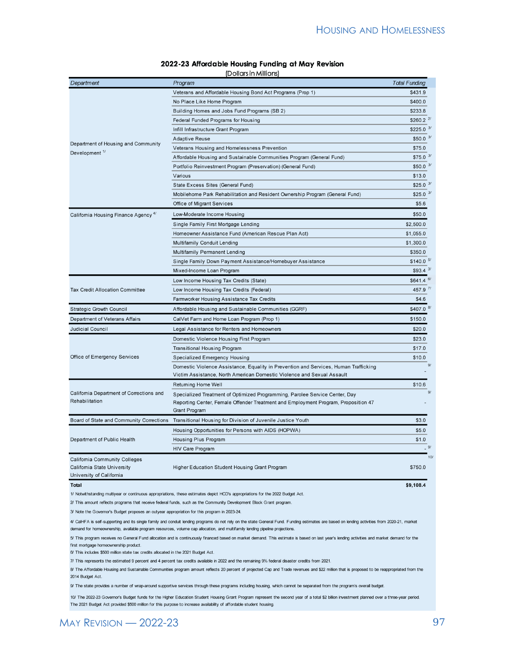| Department                                                       | Program                                                                              | <b>Total Funding</b>   |
|------------------------------------------------------------------|--------------------------------------------------------------------------------------|------------------------|
| Department of Housing and Community<br>Development <sup>1/</sup> | Veterans and Affordable Housing Bond Act Programs (Prop 1)                           | \$431.9                |
|                                                                  | No Place Like Home Program                                                           | \$400.0                |
|                                                                  | Building Homes and Jobs Fund Programs (SB 2)                                         | \$233.8                |
|                                                                  | Federal Funded Programs for Housing                                                  | $$260.2$ $^{27}$       |
|                                                                  | Infill Infrastructure Grant Program                                                  | \$225.0 $3/$           |
|                                                                  | <b>Adaptive Reuse</b>                                                                | \$50.0 $3/$            |
|                                                                  | Veterans Housing and Homelessness Prevention                                         | \$75.0                 |
|                                                                  | Affordable Housing and Sustainable Communities Program (General Fund)                | \$75.0 $3/$            |
|                                                                  | Portfolio Reinvestment Program (Preservation) (General Fund)                         | \$50.0 $3/$            |
|                                                                  | Various                                                                              | \$13.0                 |
|                                                                  | State Excess Sites (General Fund)                                                    | \$25.0 $3/$            |
|                                                                  | Mobilehome Park Rehabilitation and Resident Ownership Program (General Fund)         | \$25.0 $3$             |
|                                                                  | Office of Migrant Services                                                           | \$5.6                  |
| Califomia Housing Finance Agency <sup>4/</sup>                   | Low-Moderate Income Housing                                                          | \$50.0                 |
|                                                                  | Single Family First Mortgage Lending                                                 | \$2,500.0              |
|                                                                  | Homeowner Assistance Fund (American Rescue Plan Act)                                 | \$1,055.0              |
|                                                                  | Multifamily Conduit Lending                                                          | \$1,300.0              |
|                                                                  | Multifamily Permanent Lending                                                        | \$350.0                |
|                                                                  | Single Family Down Payment Assistance/Homebuyer Assistance                           | $$140.0$ <sup>5/</sup> |
|                                                                  | Mixed-Income Loan Program                                                            | $$93.4$ <sup>3</sup>   |
| Tax Credit Allocation Committee                                  | Low Income Housing Tax Credits (State)                                               | $$641.4$ $^{6/}$       |
|                                                                  | Low Income Housing Tax Credits (Federal)                                             | 457.9 $^{7}$           |
|                                                                  | Farmworker Housing Assistance Tax Credits                                            | \$4.6                  |
| <b>Strategic Growth Council</b>                                  | Affordable Housing and Sustainable Communities (GGRF)                                | \$407.0 $^{8}$         |
| Department of Veterans Affairs                                   | CalVet Farm and Home Loan Program (Prop 1)                                           | \$150.0                |
| <b>Judicial Council</b>                                          | Legal Assistance for Renters and Homeowners                                          | \$20.0                 |
| Office of Emergency Services                                     | Domestic Violence Housing First Program                                              | \$23.0                 |
|                                                                  | <b>Transitional Housing Program</b>                                                  | \$17.0                 |
|                                                                  | Specialized Emergency Housing                                                        | \$10.0                 |
|                                                                  | Domestic Violence Assistance, Equality in Prevention and Services, Human Trafficking |                        |
|                                                                  | Victim Assistance, North American Domestic Violence and Sexual Assault               |                        |
| California Department of Corrections and<br>Rehabilitation       | Retuming Home Well                                                                   | \$10.6                 |
|                                                                  | Specialized Treatment of Optimized Programming, Parolee Service Center, Day          |                        |
|                                                                  | Reporting Center, Female Offender Treatment and Employment Program, Proposition 47   |                        |
|                                                                  | Grant Program                                                                        |                        |
| Board of State and Community Corrections                         | Transitional Housing for Division of Juvenile Justice Youth                          | \$3.0                  |
| Department of Public Health                                      | Housing Opportunities for Persons with AIDS (HOPWA)                                  | \$5.0                  |
|                                                                  | Housing Plus Program                                                                 | \$1.0                  |
|                                                                  | HIV Care Program                                                                     |                        |
| <b>Califomia Community Colleges</b>                              |                                                                                      |                        |
| Califomia State University                                       | Higher Education Student Housing Grant Program                                       | \$750.0                |
| University of California                                         |                                                                                      |                        |

#### 2022-23 Affordable Housing Funding at May Revision (Dollars in Millions)

2/ This amount reflects programs that receive federal funds, such as the Community Development Block Grant program.

1/ Notwithstanding multiyear or continuous appropriations, these estimates depict HCD's appropriations for the 2022 Budget Act.

3/ Note the Governor's Budget proposes an outvear appropriation for this program in 2023-24.

4/ Call-IFA is self-supporting and its single family and conduit lending programs do not rely on the state General Fund. Funding estimates are based on lending activities from 2020-21, market demand for homeownership, available program resources, volume cap allocation, and multifamily lending pipeline projections.

5/ This program receives no General Fund allocation and is continuously financed based on market demand. This estimate is based on last year's lending activities and market demand for the first mortgage homeownership product.

6/ This includes \$500 million state tax credits allocated in the 2021 Budget Act.

7/ This represents the estimated 9 percent and 4 percent tax credits available in 2022 and the remaining 9% federal disaster credits from 2021.

8/ The Affordable Housing and Sustainable Communities program amount reflects 20 percent of projected Cap and Trade revenues and \$22 million that is proposed to be reappropriated from the 2014 Budget Act.

9/ The state provides a number of wrap-around supportive services through these programs including housing, which cannot be separated from the program's overall budget.

10/ The 2022-23 Governor's Budget funds for the Higher Education Student Housing Grant Program represent the second year of a total \$2 billion investment planned over a three-year period. The 2021 Budget Act provided \$500 million for this purpose to increase availability of affordable student housing.